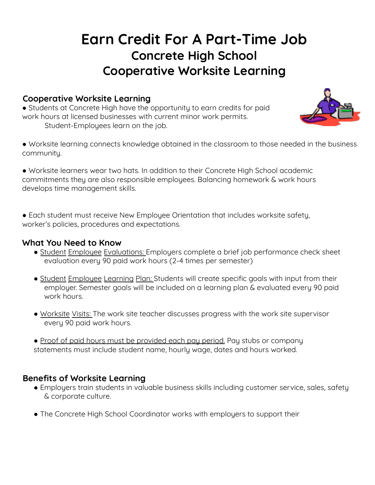# **Earn Credit For A Part-Time Job Concrete High School Cooperative Worksite Learning**

#### **Cooperative Worksite Learning**

● Students at Concrete High have the opportunity to earn credits for paid work hours at licensed businesses with current minor work permits. Student-Employees learn on the job.



● Worksite learning connects knowledge obtained in the classroom to those needed in the business community.

● Worksite learners wear two hats. In addition to their Concrete High School academic commitments they are also responsible employees. Balancing homework & work hours develops time management skills.

**●** Each student must receive New Employee Orientation that includes worksite safety, worker's policies, procedures and expectations.

#### **What You Need to Know**

- **●** Student Employee Evaluations: Employers complete a brief job performance check sheet evaluation every 90 paid work hours (2-4 times per semester)
- Student Employee Learning Plan: Students will create specific goals with input from their employer. Semester goals will be included on a learning plan & evaluated every 90 paid work hours.
- Worksite Visits: The work site teacher discusses progress with the work site supervisor every 90 paid work hours.
- Proof of paid hours must be provided each pay period. Pay stubs or company statements must include student name, hourly wage, dates and hours worked.

#### **Benefits of Worksite Learning**

- Employers train students in valuable business skills including customer service, sales, safety & corporate culture.
- The Concrete High School Coordinator works with employers to support their